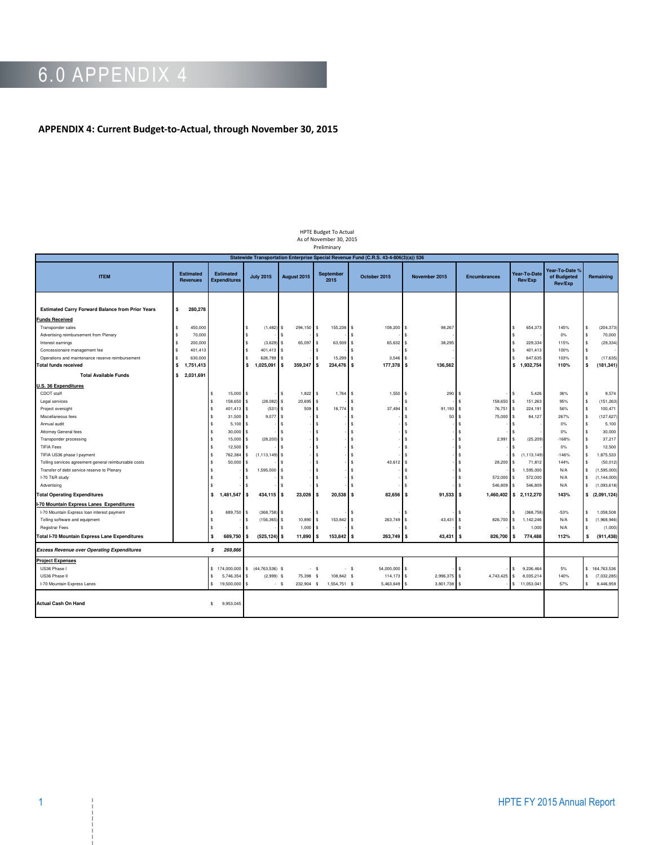## 6.0 APPENDIX 4

## **APPENDIX 4: Current Budget-to-Actual, through November 30, 2015**

| Preliminary<br>Statewide Transportation Enterprise Special Revenue Fund (C.R.S. 43-4-806(3)(a)) 536 |                                     |                                         |                                  |                      |                          |                      |                              |                         |                               |                                          |                               |  |
|-----------------------------------------------------------------------------------------------------|-------------------------------------|-----------------------------------------|----------------------------------|----------------------|--------------------------|----------------------|------------------------------|-------------------------|-------------------------------|------------------------------------------|-------------------------------|--|
| <b>ITEM</b>                                                                                         | <b>Estimated</b><br><b>Revenues</b> | <b>Estimated</b><br><b>Expenditures</b> | <b>July 2015</b>                 | August 2015          | <b>September</b><br>2015 | October 2015         | November 2015                | <b>Encumbrances</b>     | Year-To-Date<br>Rev/Exp       | Year-To-Date %<br>of Budgeted<br>Rev/Exp | Remaining                     |  |
| <b>Estimated Carry Forward Balance from Prior Years</b>                                             | 280,278<br>\$                       |                                         |                                  |                      |                          |                      |                              |                         |                               |                                          |                               |  |
| <b>Funds Received</b>                                                                               |                                     |                                         |                                  |                      |                          |                      |                              |                         |                               |                                          |                               |  |
| Transponder sales                                                                                   | 450,000                             |                                         | \$<br>(1, 482)                   | 294,150<br>s         | 155,238                  | 108,200<br>s         | 98,267<br>$\mathbf{\hat{s}}$ |                         | 654,373<br>\$                 | 145%                                     | (204, 373)<br><b>S</b>        |  |
| Advertising reimbursement from Plenary                                                              | 70,000                              |                                         | \$                               |                      |                          |                      |                              |                         | \$                            | 0%                                       | $\mathbf{s}$<br>70,000        |  |
| Interest earnings                                                                                   | 200,000                             |                                         | \$<br>(3,629)                    | 65,097<br>\$         | 63,939                   | 65,632<br>\$         | 38,295<br>S.                 |                         | 229,334<br>$\mathbf{\hat{s}}$ | 115%                                     | (29, 334)<br>$\sim$           |  |
| Concessionaire management fee                                                                       | 401,413<br>\$.                      |                                         | \$<br>401.413                    | ŝ                    |                          |                      |                              |                         | $\mathbf{\hat{s}}$<br>401.413 | 100%                                     | $\sim$                        |  |
| Operations and maintenance reserve reimbursement                                                    | 630,000                             |                                         | 628,789<br>\$                    |                      | 15,299                   | 3,546<br>s           |                              |                         | 647,635                       | 103%                                     | (17, 635)                     |  |
| <b>Total funds received</b>                                                                         | \$<br>1,751,413                     |                                         | 1,025,091<br>\$                  | 359,247<br>s         | 234,476 \$<br>l S        | 177,378              | 136,562<br>l S               |                         | 1,932,754<br>s.               | 110%                                     | S<br>(181, 341)               |  |
| <b>Total Available Funds</b>                                                                        | 2,031,691<br>$\cdot$ \$             |                                         |                                  |                      |                          |                      |                              |                         |                               |                                          |                               |  |
| J.S. 36 Expenditures                                                                                |                                     |                                         |                                  |                      |                          |                      |                              |                         |                               |                                          |                               |  |
| CDOT staff                                                                                          |                                     | 15,000<br>-S                            | \$                               | 1,822<br>\$          | 1,764<br>l \$            | 1,550<br><b>s</b>    | 290<br>l S                   | s.                      | 5,426<br>\$                   | 36%                                      | 9,574<br>\$.                  |  |
| Legal services                                                                                      |                                     | $\mathsf{s}$<br>158,650                 | \$<br>(28, 082)                  | 20,695<br>\$         |                          | \$                   |                              | 158,650<br>s.           | 151,263<br>Ŝ                  | 95%                                      | (151, 263)<br>\$              |  |
| Project oversight                                                                                   |                                     | $\mathbf{s}$<br>401,413                 | \$<br>(531)                      | 509<br>l \$          | 18,774<br>ŝ.             | 37,494<br>s          | 91,193<br>l S                | 76,751<br>I \$          | 224,191<br>\$                 | 56%                                      | $$\mathbb{S}$$<br>100,471     |  |
| Miscellaneous fees                                                                                  |                                     | 31,500<br>s                             | \$<br>9,077                      | l \$                 |                          | s                    | 50                           | $\mathsf{\$}$<br>75,000 | 84,127<br>\$                  | 267%                                     | (127, 627)<br>$\mathbf{s}$    |  |
| Annual audit                                                                                        |                                     | 5,100                                   | \$                               | s                    |                          |                      |                              | <b>s</b>                |                               | 0%                                       | $\mathbf{s}$<br>5,100         |  |
| Attorney General fees                                                                               |                                     | 30,000                                  | \$                               | s                    |                          |                      |                              | \$                      |                               | 0%                                       | $\mathbf{s}$<br>30,000        |  |
| Transponder processing                                                                              |                                     | 15,000<br>s                             | \$<br>(28, 200)                  | s                    |                          |                      |                              | 2,99<br>s.              | (25, 209)<br>\$               | $-168%$                                  | $\mathbf{s}$<br>37.217        |  |
| <b>TIFIA Fees</b>                                                                                   |                                     | 12,500                                  | \$                               |                      |                          |                      |                              | $\hat{\mathbf{z}}$      |                               | 0%                                       | 12,500<br>$\sim$              |  |
| TIFIA US36 phase I payment                                                                          |                                     | $\mathbf{s}$<br>762,384                 | (1, 113, 149)<br>\$              | s                    |                          |                      |                              | $\hat{\mathbf{x}}$      | (1, 113, 149)<br>\$           | $-146%$                                  | $\mathbb{S}$<br>1,875,533     |  |
| Tolling services agreement-general reimbursable costs                                               |                                     | 50,000                                  | \$                               |                      |                          | 43,612               |                              | 28,200<br>$\mathbf{s}$  | 71,812<br>\$                  | 144%                                     | (50, 012)<br>l \$             |  |
| Transfer of debt service reserve to Plenary                                                         |                                     |                                         | 1,595,000<br>\$                  | \$                   |                          |                      |                              |                         | 1,595,000<br>\$               | N/A                                      | \$<br>(1,595,000)             |  |
| I-70 T&R study                                                                                      |                                     |                                         | s                                |                      |                          |                      |                              | 572,000<br>s            | 572,000<br>s.                 | N/A                                      | $\mathbf{s}$<br>(1, 144, 000) |  |
| Advertising                                                                                         |                                     |                                         | S                                |                      |                          |                      |                              | 546,809<br>s.           | 546,809<br>\$                 | N/A                                      | \$<br>(1,093,618)             |  |
| <b>Total Operating Expenditures</b>                                                                 |                                     | \$.<br>1,481,547                        | 434,115<br>l S                   | 23,026<br>s          | 20,538<br><b>s</b>       | 82,656<br><b>S</b>   | 91,533<br>I S                | I s                     | 1,460,402 \$ 2,112,270        | 143%                                     | (2,091,124)<br>s              |  |
| -70 Mountain Express Lanes Expenditures                                                             |                                     |                                         |                                  |                      |                          |                      |                              |                         |                               |                                          |                               |  |
| I-70 Mountain Express loan interest payment                                                         |                                     | 689,750                                 | (368, 758)<br>\$                 | s                    |                          |                      |                              |                         | (368,758)<br>\$               | $-53%$                                   | 1,058,508<br>$\mathbf{s}$     |  |
| Tolling software and equipment                                                                      |                                     | s.                                      | (156, 365)<br>\$                 | 10,890<br>s          | 153,842<br>\$            | 263,749<br>\$        | 43,431<br>-S                 | 826,700<br>-S.          | 1,142,246<br>\$               | N/A                                      | $\mathbb{S}$<br>(1,968,946)   |  |
| Registrar Fees                                                                                      |                                     | $\mathsf{s}$                            | \$.                              | 1,000<br>s           |                          |                      |                              | -S.                     | 1,000<br>ፍ                    | N/A                                      | \$<br>(1,000)                 |  |
| Total I-70 Mountain Express Lane Expenditures                                                       |                                     | <b>S</b><br>689,750                     | $(525, 124)$ \$<br>l s           | 11,890               | 153,842 \$<br><b>S</b>   | 263,749              | 43,431<br>l S                | l s<br>826,700          | $\mathbf{s}$<br>774,488       | 112%                                     | (911, 438)<br>$\mathbf{s}$    |  |
| <b>Excess Revenue over Operating Expenditures</b>                                                   |                                     | s<br>269,866                            |                                  |                      |                          |                      |                              |                         |                               |                                          |                               |  |
| <b>Project Expenses</b>                                                                             |                                     |                                         |                                  |                      |                          |                      |                              |                         |                               |                                          |                               |  |
| US36 Phase I                                                                                        |                                     |                                         | \$174,000,000 \$ (44,763,536) \$ |                      | $-$ \$                   | 54,000,000<br>$-$ \$ | l s                          | s.                      | \$<br>9,236,464               | 5%                                       | \$164,763,536                 |  |
| US36 Phase II                                                                                       |                                     | 5,746,354<br>s.                         | $(2,999)$ \$<br>\$               | 75,398               | 108,842 \$<br>- \$       | 114,173              | 2,996,375 \$<br>l S          | 4,743,425               | 8,035,214<br>\$               | 140%                                     | $\mathbb{S}$<br>(7,032,285)   |  |
| I-70 Mountain Express Lanes                                                                         |                                     | s.<br>19,500,000                        | \$                               | 232,904 \$<br>$-$ \$ | 1,554,751 \$             | 5,463,649            | 3,801,738 \$<br>l \$         |                         | \$11,053,041                  | 57%                                      | \$<br>8,446,959               |  |
| <b>Actual Cash On Hand</b>                                                                          |                                     | 9,953,045<br>s.                         |                                  |                      |                          |                      |                              |                         |                               |                                          |                               |  |

HPTE Budget To Actual As of November 30, 2015